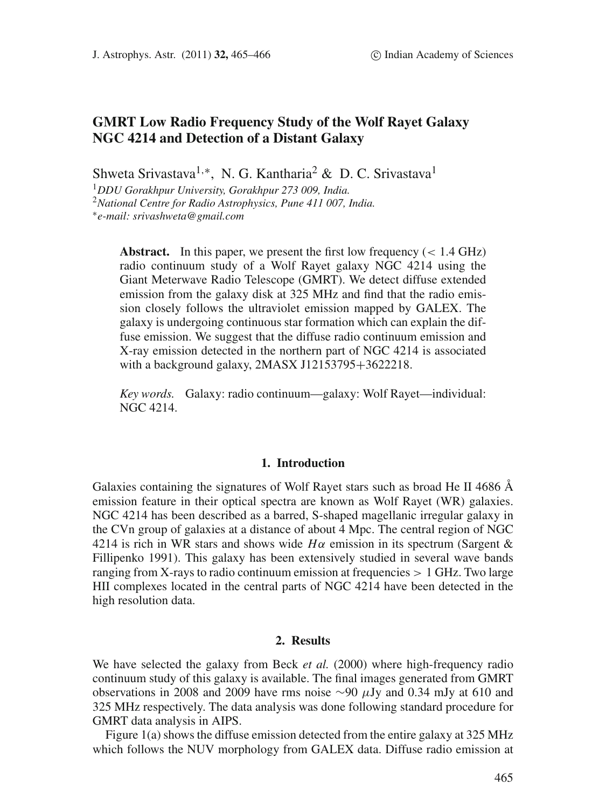# **GMRT Low Radio Frequency Study of the Wolf Rayet Galaxy NGC 4214 and Detection of a Distant Galaxy**

Shweta Srivastava<sup>1,\*</sup>, N. G. Kantharia<sup>2</sup> & D. C. Srivastava<sup>1</sup>

<sup>1</sup>*DDU Gorakhpur University, Gorakhpur 273 009, India.* <sup>2</sup>*National Centre for Radio Astrophysics, Pune 411 007, India.* <sup>∗</sup>*e-mail: srivashweta@gmail.com*

**Abstract.** In this paper, we present the first low frequency  $(< 1.4 \text{ GHz})$ radio continuum study of a Wolf Rayet galaxy NGC 4214 using the Giant Meterwave Radio Telescope (GMRT). We detect diffuse extended emission from the galaxy disk at 325 MHz and find that the radio emission closely follows the ultraviolet emission mapped by GALEX. The galaxy is undergoing continuous star formation which can explain the diffuse emission. We suggest that the diffuse radio continuum emission and X-ray emission detected in the northern part of NGC 4214 is associated with a background galaxy, 2MASX J12153795+3622218.

*Key words.* Galaxy: radio continuum—galaxy: Wolf Rayet—individual: NGC 4214.

# **1. Introduction**

Galaxies containing the signatures of Wolf Rayet stars such as broad He II 4686  $\AA$ emission feature in their optical spectra are known as Wolf Rayet (WR) galaxies. NGC 4214 has been described as a barred, S-shaped magellanic irregular galaxy in the CVn group of galaxies at a distance of about 4 Mpc. The central region of NGC 4214 is rich in WR stars and shows wide  $H\alpha$  emission in its spectrum (Sargent & Fillipenko 1991). This galaxy has been extensively studied in several wave bands ranging from X-rays to radio continuum emission at frequencies  $> 1$  GHz. Two large HII complexes located in the central parts of NGC 4214 have been detected in the high resolution data.

### **2. Results**

We have selected the galaxy from Beck *et al.* (2000) where high-frequency radio continuum study of this galaxy is available. The final images generated from GMRT observations in 2008 and 2009 have rms noise ∼90 μJy and 0.34 mJy at 610 and 325 MHz respectively. The data analysis was done following standard procedure for GMRT data analysis in AIPS.

Figure 1(a) shows the diffuse emission detected from the entire galaxy at 325 MHz which follows the NUV morphology from GALEX data. Diffuse radio emission at